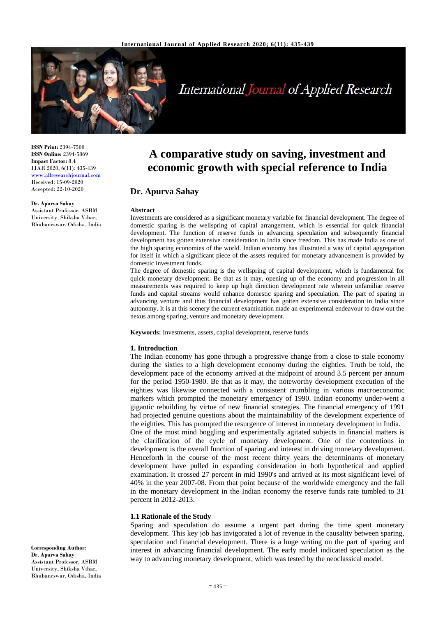

# **International Journal of Applied Research**

**ISSN Print:** 2394-7500 **ISSN Online:** 2394-5869 **Impact Factor:** 8.4 IJAR 2020; 6(11): 435-439 [www.allresearchjournal.com](http://www.allresearchjournal.com/) Received: 15-09-2020 Accepted: 22-10-2020

**Dr. Apurva Sahay**

Assistant Professor, ASBM University, Shiksha Vihar, Bhubaneswar, Odisha, India **A comparative study on saving, investment and economic growth with special reference to India**

## **Dr. Apurva Sahay**

#### **Abstract**

Investments are considered as a significant monetary variable for financial development. The degree of domestic sparing is the wellspring of capital arrangement, which is essential for quick financial development. The function of reserve funds in advancing speculation and subsequently financial development has gotten extensive consideration in India since freedom. This has made India as one of the high sparing economies of the world. Indian economy has illustrated a way of capital aggregation for itself in which a significant piece of the assets required for monetary advancement is provided by domestic investment funds.

The degree of domestic sparing is the wellspring of capital development, which is fundamental for quick monetary development. Be that as it may, opening up of the economy and progression in all measurements was required to keep up high direction development rate wherein unfamiliar reserve funds and capital streams would enhance domestic sparing and speculation. The part of sparing in advancing venture and thus financial development has gotten extensive consideration in India since autonomy. It is at this scenery the current examination made an experimental endeavour to draw out the nexus among sparing, venture and monetary development.

**Keywords:** Investments, assets, capital development, reserve funds

#### **1. Introduction**

The Indian economy has gone through a progressive change from a close to stale economy during the sixties to a high development economy during the eighties. Truth be told, the development pace of the economy arrived at the midpoint of around 3.5 percent per annum for the period 1950-1980. Be that as it may, the noteworthy development execution of the eighties was likewise connected with a consistent crumbling in various macroeconomic markers which prompted the monetary emergency of 1990. Indian economy under-went a gigantic rebuilding by virtue of new financial strategies. The financial emergency of 1991 had projected genuine questions about the maintainability of the development experience of the eighties. This has prompted the resurgence of interest in monetary development in India. One of the most mind boggling and experimentally agitated subjects in financial matters is the clarification of the cycle of monetary development. One of the contentions in development is the overall function of sparing and interest in driving monetary development. Henceforth in the course of the most recent thirty years the determinants of monetary development have pulled in expanding consideration in both hypothetical and applied examination. It crossed 27 percent in mid 1990's and arrived at its most significant level of 40% in the year 2007-08. From that point because of the worldwide emergency and the fall in the monetary development in the Indian economy the reserve funds rate tumbled to 31

#### **1.1 Rationale of the Study**

percent in 2012-2013.

Sparing and speculation do assume a urgent part during the time spent monetary development. This key job has invigorated a lot of revenue in the causality between sparing, speculation and financial development. There is a huge writing on the part of sparing and interest in advancing financial development. The early model indicated speculation as the way to advancing monetary development, which was tested by the neoclassical model.

**Corresponding Author: Dr. Apurva Sahay** Assistant Professor, ASBM University, Shiksha Vihar, Bhubaneswar, Odisha, India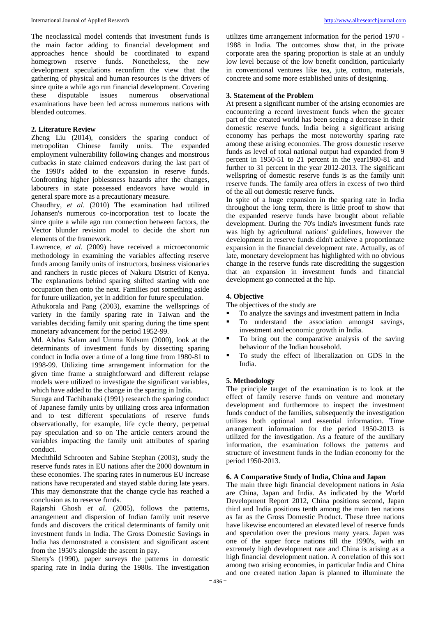The neoclassical model contends that investment funds is the main factor adding to financial development and approaches hence should be coordinated to expand homegrown reserve funds. Nonetheless, the new development speculations reconfirm the view that the gathering of physical and human resources is the drivers of since quite a while ago run financial development. Covering<br>these disputable issues numerous observational these disputable issues numerous observational examinations have been led across numerous nations with blended outcomes.

#### **2. Literature Review**

Zheng Liu (2014), considers the sparing conduct of metropolitan Chinese family units. The expanded employment vulnerability following changes and monstrous cutbacks in state claimed endeavors during the last part of the 1990's added to the expansion in reserve funds. Confronting higher joblessness hazards after the changes, labourers in state possessed endeavors have would in general spare more as a precautionary measure.

Chaudhry, *et al*. (2010) The examination had utilized Johansen's numerous co-incorporation test to locate the since quite a while ago run connection between factors, the Vector blunder revision model to decide the short run elements of the framework.

Lawrence, *et al*. (2009) have received a microeconomic methodology in examining the variables affecting reserve funds among family units of instructors, business visionaries and ranchers in rustic pieces of Nakuru District of Kenya. The explanations behind sparing shifted starting with one occupation then onto the next. Families put something aside for future utilization, yet in addition for future speculation.

Athukorala and Pang (2003), examine the wellsprings of variety in the family sparing rate in Taiwan and the variables deciding family unit sparing during the time spent monetary advancement for the period 1952-99.

Md. Abdus Salam and Umma Kulsum (2000), look at the determinants of investment funds by dissecting sparing conduct in India over a time of a long time from 1980-81 to 1998-99. Utilizing time arrangement information for the given time frame a straightforward and different relapse models were utilized to investigate the significant variables, which have added to the change in the sparing in India.

Suruga and Tachibanaki (1991) research the sparing conduct of Japanese family units by utilizing cross area information and to test different speculations of reserve funds observationally, for example, life cycle theory, perpetual pay speculation and so on The article centers around the variables impacting the family unit attributes of sparing conduct.

Mechthild Schrooten and Sabine Stephan (2003), study the reserve funds rates in EU nations after the 2000 downturn in these economies. The sparing rates in numerous EU increase nations have recuperated and stayed stable during late years. This may demonstrate that the change cycle has reached a conclusion as to reserve funds.

Rajarshi Ghosh *et al*. (2005), follows the patterns, arrangement and dispersion of Indian family unit reserve funds and discovers the critical determinants of family unit investment funds in India. The Gross Domestic Savings in India has demonstrated a consistent and significant ascent from the 1950's alongside the ascent in pay.

Shetty's (1990), paper surveys the patterns in domestic sparing rate in India during the 1980s. The investigation utilizes time arrangement information for the period 1970 - 1988 in India. The outcomes show that, in the private corporate area the sparing proportion is stale at an unduly low level because of the low benefit condition, particularly in conventional ventures like tea, jute, cotton, materials, concrete and some more established units of designing.

#### **3. Statement of the Problem**

At present a significant number of the arising economies are encountering a record investment funds when the greater part of the created world has been seeing a decrease in their domestic reserve funds. India being a significant arising economy has perhaps the most noteworthy sparing rate among these arising economies. The gross domestic reserve funds as level of total national output had expanded from 9 percent in 1950-51 to 21 percent in the year1980-81 and further to 31 percent in the year 2012-2013. The significant wellspring of domestic reserve funds is as the family unit reserve funds. The family area offers in excess of two third of the all out domestic reserve funds.

In spite of a huge expansion in the sparing rate in India throughout the long term, there is little proof to show that the expanded reserve funds have brought about reliable development. During the 70's India's investment funds rate was high by agricultural nations' guidelines, however the development in reserve funds didn't achieve a proportionate expansion in the financial development rate. Actually, as of late, monetary development has highlighted with no obvious change in the reserve funds rate discrediting the suggestion that an expansion in investment funds and financial development go connected at the hip.

#### **4. Objective**

The objectives of the study are

- To analyze the savings and investment pattern in India
- To understand the association amongst savings, investment and economic growth in India.
- To bring out the comparative analysis of the saving behaviour of the Indian household.
- To study the effect of liberalization on GDS in the India.

#### **5. Methodology**

The principle target of the examination is to look at the effect of family reserve funds on venture and monetary development and furthermore to inspect the investment funds conduct of the families, subsequently the investigation utilizes both optional and essential information. Time arrangement information for the period 1950-2013 is utilized for the investigation. As a feature of the auxiliary information, the examination follows the patterns and structure of investment funds in the Indian economy for the period 1950-2013.

#### **6. A Comparative Study of India, China and Japan**

The main three high financial development nations in Asia are China, Japan and India. As indicated by the World Development Report 2012, China positions second, Japan third and India positions tenth among the main ten nations as far as the Gross Domestic Product. These three nations have likewise encountered an elevated level of reserve funds and speculation over the previous many years. Japan was one of the super force nations till the 1990's, with an extremely high development rate and China is arising as a high financial development nation. A correlation of this sort among two arising economies, in particular India and China and one created nation Japan is planned to illuminate the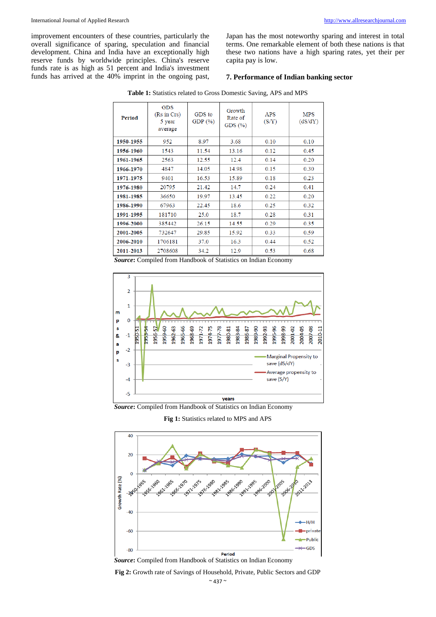improvement encounters of these countries, particularly the overall significance of sparing, speculation and financial development. China and India have an exceptionally high reserve funds by worldwide principles. China's reserve funds rate is as high as 51 percent and India's investment funds has arrived at the 40% imprint in the ongoing past,

Japan has the most noteworthy sparing and interest in total terms. One remarkable element of both these nations is that these two nations have a high sparing rates, yet their per capita pay is low.

#### **7. Performance of Indian banking sector**

| Period    | <b>GDS</b><br>(Rs in Crs)<br>5 year<br>average | GDS to<br>GDP $(\% )$ | Growth<br>Rate of<br>GDS $(\%)$ | <b>APS</b><br>(S/Y) | <b>MPS</b><br>(dS/dY) |
|-----------|------------------------------------------------|-----------------------|---------------------------------|---------------------|-----------------------|
| 1950-1955 | 952                                            | 8.97                  | 3.68                            | 0.10                | 0.10                  |
| 1956-1960 | 1543                                           | 11.54                 | 13.16                           | 0.12                | 0.45                  |
| 1961-1965 | 2563                                           | 12.55                 | 12.4                            | 0.14                | 0.20                  |
| 1966-1970 | 4847                                           | 14.05                 | 14.98                           | 0.15                | 0.30                  |
| 1971-1975 | 9401                                           | 16.53                 | 15.89                           | 0.18                | 0.23                  |
| 1976-1980 | 20795                                          | 21.42                 | 14.7                            | 0.24                | 0.41                  |
| 1981-1985 | 36650                                          | 19.97                 | 13.45                           | 0.22                | 0.20                  |
| 1986-1990 | 67963                                          | 22.45                 | 18.6                            | 0.25                | 0.32                  |
| 1991-1995 | 181710                                         | 25.0                  | 18.7                            | 0.28                | 0.31                  |
| 1996-2000 | 385442                                         | 26.15                 | 14.55                           | 0.29                | 0.35                  |
| 2001-2005 | 732647                                         | 29.85                 | 15.92                           | 0.33                | 0.59                  |
| 2006-2010 | 1706181                                        | 37.0                  | 16.3                            | 0.44                | 0.52                  |
| 2011-2013 | 2708608                                        | 34.2                  | 12.9                            | 0.53                | 0.68                  |

**Table 1:** Statistics related to Gross Domestic Saving, APS and MPS

*Source***:** Compiled from Handbook of Statistics on Indian Economy



*Source***:** Compiled from Handbook of Statistics on Indian Economy

**Fig 1:** Statistics related to MPS and APS



*Source***:** Compiled from Handbook of Statistics on Indian Economy

**Fig 2:** Growth rate of Savings of Household, Private, Public Sectors and GDP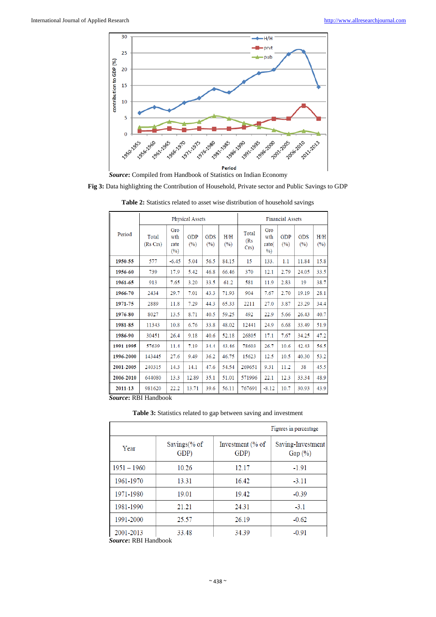

*Source***:** Compiled from Handbook of Statistics on Indian Economy

**Fig 3:** Data highlighting the Contribution of Household, Private sector and Public Savings to GDP

|                     | <b>Physical Assets</b> |                           |            |                   | <b>Financial Assets</b> |                         |                             |                   |                   |               |
|---------------------|------------------------|---------------------------|------------|-------------------|-------------------------|-------------------------|-----------------------------|-------------------|-------------------|---------------|
| Period              | Total<br>(Rs Crs)      | Gro<br>wth<br>rate<br>(%) | GDP<br>(%) | <b>GDS</b><br>(%) | H/H<br>(%)              | Total<br>(Rs<br>$Crs$ ) | Gro<br>wth<br>rate(<br>$\%$ | <b>GDP</b><br>(%) | <b>GDS</b><br>(%) | H/H<br>$(\%)$ |
| 1950-55             | 577                    | $-6.45$                   | 5.04       | 56.5              | 84.15                   | 15                      | 133.                        | 1.1               | 11.84             | 15.8          |
| 1956-60             | 739                    | 17.9                      | 5.42       | 46.8              | 66.46                   | 370                     | 12.1                        | 2.79              | 24.05             | 33.5          |
| 1961-65             | 913                    | 7.65                      | 3.20       | 33.5              | 61.2                    | 581                     | 11.9                        | 2.83              | 19                | 38.7          |
| 1966-70             | 2434                   | 29.7                      | 7.01       | 43.3              | 71.93                   | 904                     | 7.67                        | 2.70              | 19.19             | 28.1          |
| 1971-75             | 2889                   | 11.8                      | 7.29       | 44.3              | 65.33                   | 2211                    | 27.0                        | 3.87              | 23.29             | 34.4          |
| 1976-80             | 8027                   | 13.5                      | 8.71       | 40.5              | 59.25                   | 492                     | 22.9                        | 5.66              | 26.43             | 40.7          |
| 1981-85             | 11343                  | 10.8                      | 6.76       | 33.8              | 48.02                   | 12441                   | 24.9                        | 6.68              | 33.49             | 51.9          |
| 1986-90             | 30451                  | 26.4                      | 9.18       | 40.6              | 52.18                   | 26805                   | 17.1                        | 7.67              | 34.25             | 47.2          |
| 1991-1995           | 57639                  | 11.4                      | 7.19       | 34.4              | 43.46                   | 78603                   | 26.7                        | 10.6              | 42.43             | 56.5          |
| 1996-2000           | 143445                 | 27.6                      | 9.49       | 36.2              | 46.75                   | 15623                   | 12.5                        | 10.5              | 40.30             | 53.2          |
| 2001-2005           | 240315                 | 14.3                      | 14.1       | 47.6              | 54.54                   | 269651                  | 9.31                        | 11.2              | 38                | 45.5          |
| 2006-2010           | 644080                 | 13.3                      | 12.89      | 35.1              | 51.01                   | 571996                  | 22.1                        | 12.3              | 33.34             | 48.9          |
| 2011-13             | 981620                 | 22.2                      | 13.71      | 39.6              | 56.11                   | 767691                  | $-8.12$                     | 10.7              | 30.93             | 43.9          |
| Course DRI Handbook |                        |                           |            |                   |                         |                         |                             |                   |                   |               |

**Table 2:** Statistics related to asset wise distribution of household savings

*Source***:** RBI Handbook

**Table 3:** Statistics related to gap between saving and investment

|               |                      |                          | Figures in percentage           |
|---------------|----------------------|--------------------------|---------------------------------|
| Year          | Savings(% of<br>GDP) | Investment (% of<br>GDP) | Saving-Investment<br>Gap $(\%)$ |
| $1951 - 1960$ | 10.26                | 12.17                    | $-1.91$                         |
| 1961-1970     | 13.31                | 16.42                    | $-3.11$                         |
| 1971-1980     | 19.01                | 19.42                    | $-0.39$                         |
| 1981-1990     | 21.21                | 24.31                    | $-3.1$                          |
| 1991-2000     | 25.57                | 26.19                    | $-0.62$                         |
| 2001-2013     | 33.48                | 34.39                    | $-0.91$                         |

*Source***:** RBI Handbook